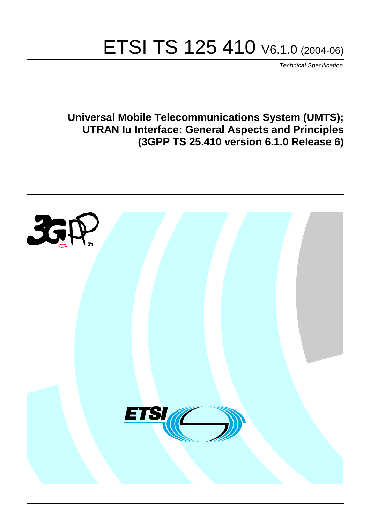# ETSI TS 125 410 V6.1.0 (2004-06)

Technical Specification

**Universal Mobile Telecommunications System (UMTS); UTRAN Iu Interface: General Aspects and Principles (3GPP TS 25.410 version 6.1.0 Release 6)**

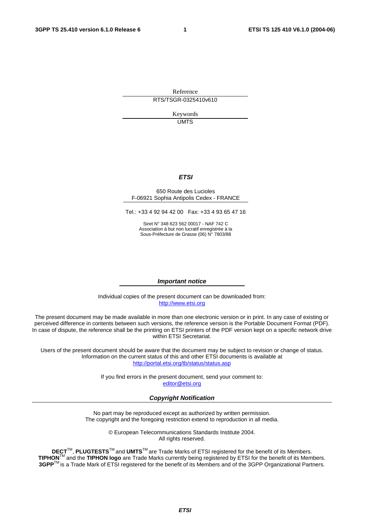Reference RTS/TSGR-0325410v610

> Keywords UMTS

#### **ETSI**

#### 650 Route des Lucioles F-06921 Sophia Antipolis Cedex - FRANCE

Tel.: +33 4 92 94 42 00 Fax: +33 4 93 65 47 16

Siret N° 348 623 562 00017 - NAF 742 C Association à but non lucratif enregistrée à la Sous-Préfecture de Grasse (06) N° 7803/88

#### **Important notice**

Individual copies of the present document can be downloaded from: [http://www.etsi.org](http://www.etsi.org/)

The present document may be made available in more than one electronic version or in print. In any case of existing or perceived difference in contents between such versions, the reference version is the Portable Document Format (PDF). In case of dispute, the reference shall be the printing on ETSI printers of the PDF version kept on a specific network drive within ETSI Secretariat.

Users of the present document should be aware that the document may be subject to revision or change of status. Information on the current status of this and other ETSI documents is available at <http://portal.etsi.org/tb/status/status.asp>

> If you find errors in the present document, send your comment to: [editor@etsi.org](mailto:editor@etsi.org)

#### **Copyright Notification**

No part may be reproduced except as authorized by written permission. The copyright and the foregoing restriction extend to reproduction in all media.

> © European Telecommunications Standards Institute 2004. All rights reserved.

**DECT**TM, **PLUGTESTS**TM and **UMTS**TM are Trade Marks of ETSI registered for the benefit of its Members. **TIPHON**TM and the **TIPHON logo** are Trade Marks currently being registered by ETSI for the benefit of its Members. **3GPP**TM is a Trade Mark of ETSI registered for the benefit of its Members and of the 3GPP Organizational Partners.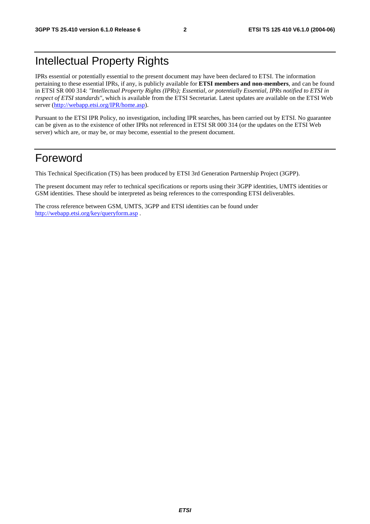## Intellectual Property Rights

IPRs essential or potentially essential to the present document may have been declared to ETSI. The information pertaining to these essential IPRs, if any, is publicly available for **ETSI members and non-members**, and can be found in ETSI SR 000 314: *"Intellectual Property Rights (IPRs); Essential, or potentially Essential, IPRs notified to ETSI in respect of ETSI standards"*, which is available from the ETSI Secretariat. Latest updates are available on the ETSI Web server (<http://webapp.etsi.org/IPR/home.asp>).

Pursuant to the ETSI IPR Policy, no investigation, including IPR searches, has been carried out by ETSI. No guarantee can be given as to the existence of other IPRs not referenced in ETSI SR 000 314 (or the updates on the ETSI Web server) which are, or may be, or may become, essential to the present document.

## Foreword

This Technical Specification (TS) has been produced by ETSI 3rd Generation Partnership Project (3GPP).

The present document may refer to technical specifications or reports using their 3GPP identities, UMTS identities or GSM identities. These should be interpreted as being references to the corresponding ETSI deliverables.

The cross reference between GSM, UMTS, 3GPP and ETSI identities can be found under <http://webapp.etsi.org/key/queryform.asp>.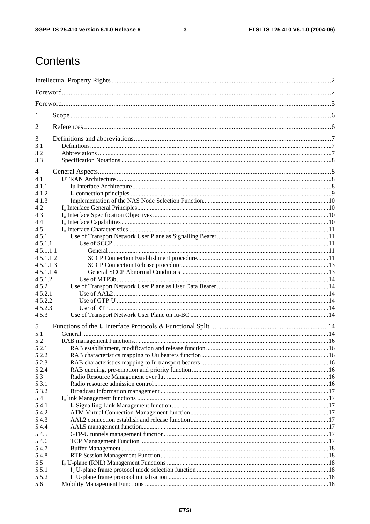$\mathbf{3}$ 

## Contents

| 1          |  |  |  |  |  |  |  |  |
|------------|--|--|--|--|--|--|--|--|
| 2          |  |  |  |  |  |  |  |  |
| 3          |  |  |  |  |  |  |  |  |
| 3.1<br>3.2 |  |  |  |  |  |  |  |  |
| 3.3        |  |  |  |  |  |  |  |  |
| 4          |  |  |  |  |  |  |  |  |
| 4.1        |  |  |  |  |  |  |  |  |
| 4.1.1      |  |  |  |  |  |  |  |  |
| 4.1.2      |  |  |  |  |  |  |  |  |
| 4.1.3      |  |  |  |  |  |  |  |  |
| 4.2        |  |  |  |  |  |  |  |  |
| 4.3        |  |  |  |  |  |  |  |  |
| 4.4        |  |  |  |  |  |  |  |  |
| 4.5        |  |  |  |  |  |  |  |  |
| 4.5.1      |  |  |  |  |  |  |  |  |
| 4.5.1.1    |  |  |  |  |  |  |  |  |
| 4.5.1.1.1  |  |  |  |  |  |  |  |  |
| 4.5.1.1.2  |  |  |  |  |  |  |  |  |
| 4.5.1.1.3  |  |  |  |  |  |  |  |  |
| 4.5.1.1.4  |  |  |  |  |  |  |  |  |
| 4.5.1.2    |  |  |  |  |  |  |  |  |
| 4.5.2      |  |  |  |  |  |  |  |  |
| 4.5.2.1    |  |  |  |  |  |  |  |  |
| 4.5.2.2    |  |  |  |  |  |  |  |  |
| 4.5.2.3    |  |  |  |  |  |  |  |  |
| 4.5.3      |  |  |  |  |  |  |  |  |
| 5          |  |  |  |  |  |  |  |  |
| 5.1        |  |  |  |  |  |  |  |  |
| 5.2        |  |  |  |  |  |  |  |  |
| 5.2.1      |  |  |  |  |  |  |  |  |
| 5.2.2      |  |  |  |  |  |  |  |  |
| 5.2.3      |  |  |  |  |  |  |  |  |
| 5.2.4      |  |  |  |  |  |  |  |  |
| 5.3        |  |  |  |  |  |  |  |  |
| 5.3.1      |  |  |  |  |  |  |  |  |
| 5.3.2      |  |  |  |  |  |  |  |  |
| 5.4        |  |  |  |  |  |  |  |  |
| 5.4.1      |  |  |  |  |  |  |  |  |
| 5.4.2      |  |  |  |  |  |  |  |  |
| 5.4.3      |  |  |  |  |  |  |  |  |
| 5.4.4      |  |  |  |  |  |  |  |  |
| 5.4.5      |  |  |  |  |  |  |  |  |
| 5.4.6      |  |  |  |  |  |  |  |  |
| 5.4.7      |  |  |  |  |  |  |  |  |
| 5.4.8      |  |  |  |  |  |  |  |  |
| 5.5        |  |  |  |  |  |  |  |  |
| 5.5.1      |  |  |  |  |  |  |  |  |
| 5.5.2      |  |  |  |  |  |  |  |  |
| 5.6        |  |  |  |  |  |  |  |  |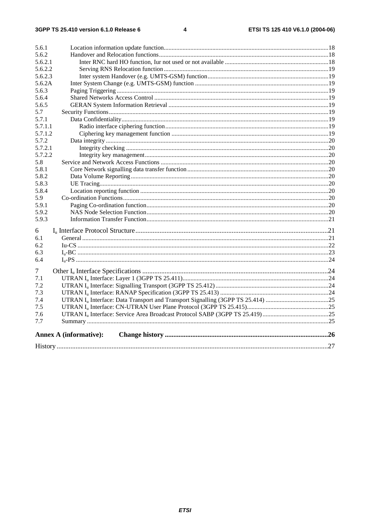| 5.6.1   |                               |  |
|---------|-------------------------------|--|
| 5.6.2   |                               |  |
| 5.6.2.1 |                               |  |
| 5.6.2.2 |                               |  |
| 5.6.2.3 |                               |  |
| 5.6.2A  |                               |  |
| 5.6.3   |                               |  |
| 5.6.4   |                               |  |
| 5.6.5   |                               |  |
| 5.7     |                               |  |
| 5.7.1   |                               |  |
| 5.7.1.1 |                               |  |
| 5.7.1.2 |                               |  |
| 5.7.2   |                               |  |
| 5.7.2.1 |                               |  |
| 5.7.2.2 |                               |  |
| 5.8     |                               |  |
| 5.8.1   |                               |  |
| 5.8.2   |                               |  |
| 5.8.3   |                               |  |
| 5.8.4   |                               |  |
| 5.9     |                               |  |
| 5.9.1   |                               |  |
| 5.9.2   |                               |  |
| 5.9.3   |                               |  |
| 6       |                               |  |
| 6.1     |                               |  |
| 6.2     |                               |  |
| 6.3     |                               |  |
| 6.4     |                               |  |
| 7       |                               |  |
| 7.1     |                               |  |
| 7.2     |                               |  |
| 7.3     |                               |  |
| 7.4     |                               |  |
| 7.5     |                               |  |
| 7.6     |                               |  |
| 7.7     |                               |  |
|         | <b>Annex A (informative):</b> |  |
|         |                               |  |
|         |                               |  |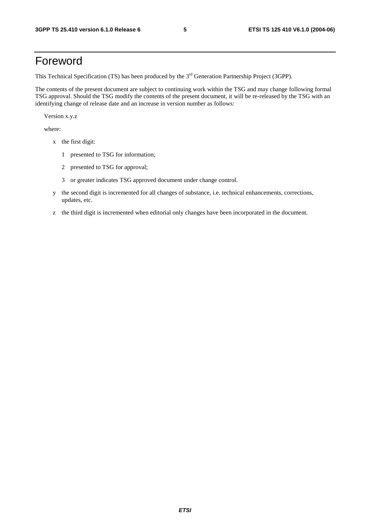## Foreword

This Technical Specification (TS) has been produced by the 3<sup>rd</sup> Generation Partnership Project (3GPP).

The contents of the present document are subject to continuing work within the TSG and may change following formal TSG approval. Should the TSG modify the contents of the present document, it will be re-released by the TSG with an identifying change of release date and an increase in version number as follows:

Version x.y.z

where:

- x the first digit:
	- 1 presented to TSG for information;
	- 2 presented to TSG for approval;
	- 3 or greater indicates TSG approved document under change control.
- y the second digit is incremented for all changes of substance, i.e. technical enhancements, corrections, updates, etc.
- z the third digit is incremented when editorial only changes have been incorporated in the document.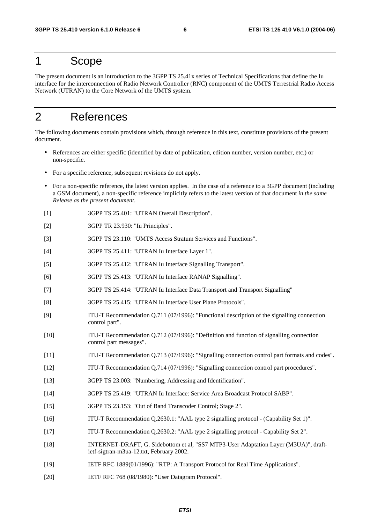### 1 Scope

The present document is an introduction to the 3GPP TS 25.41x series of Technical Specifications that define the Iu interface for the interconnection of Radio Network Controller (RNC) component of the UMTS Terrestrial Radio Access Network (UTRAN) to the Core Network of the UMTS system.

## 2 References

The following documents contain provisions which, through reference in this text, constitute provisions of the present document.

- References are either specific (identified by date of publication, edition number, version number, etc.) or non-specific.
- For a specific reference, subsequent revisions do not apply.
- For a non-specific reference, the latest version applies. In the case of a reference to a 3GPP document (including a GSM document), a non-specific reference implicitly refers to the latest version of that document *in the same Release as the present document*.
- [1] 3GPP TS 25.401: "UTRAN Overall Description".
- [2] 3GPP TR 23.930: "Iu Principles".
- [3] 3GPP TS 23.110: "UMTS Access Stratum Services and Functions".
- [4] 3GPP TS 25.411: "UTRAN Iu Interface Layer 1".
- [5] 3GPP TS 25.412: "UTRAN Iu Interface Signalling Transport".
- [6] 3GPP TS 25.413: "UTRAN Iu Interface RANAP Signalling".
- [7] 3GPP TS 25.414: "UTRAN Iu Interface Data Transport and Transport Signalling"
- [8] 3GPP TS 25.415: "UTRAN Iu Interface User Plane Protocols".
- [9] ITU-T Recommendation Q.711 (07/1996): "Functional description of the signalling connection control part".
- [10] ITU-T Recommendation Q.712 (07/1996): "Definition and function of signalling connection control part messages".
- [11] ITU-T Recommendation Q.713 (07/1996): "Signalling connection control part formats and codes".
- [12] ITU-T Recommendation Q.714 (07/1996): "Signalling connection control part procedures".
- [13] 3GPP TS 23.003: "Numbering, Addressing and Identification".
- [14] 3GPP TS 25.419: "UTRAN Iu Interface: Service Area Broadcast Protocol SABP".
- [15] 3GPP TS 23.153: "Out of Band Transcoder Control; Stage 2".
- [16] ITU-T Recommendation Q.2630.1: "AAL type 2 signalling protocol (Capability Set 1)".
- [17] ITU-T Recommendation Q.2630.2: "AAL type 2 signalling protocol Capability Set 2".
- [18] INTERNET-DRAFT, G. Sidebottom et al, "SS7 MTP3-User Adaptation Layer (M3UA)", draftietf-sigtran-m3ua-12.txt, February 2002.
- [19] IETF RFC 1889(01/1996): "RTP: A Transport Protocol for Real Time Applications".
- [20] IETF RFC 768 (08/1980): "User Datagram Protocol".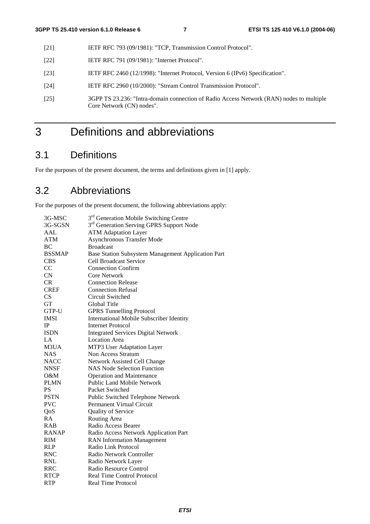- [21] **IETF RFC 793 (09/1981): "TCP, Transmission Control Protocol".**
- [22] **IETF RFC 791 (09/1981): "Internet Protocol".**
- [23] IETF RFC 2460 (12/1998): "Internet Protocol, Version 6 (IPv6) Specification".
- [24] IETF RFC 2960 (10/2000): "Stream Control Transmission Protocol".
- [25] 3GPP TS 23.236: "Intra-domain connection of Radio Access Network (RAN) nodes to multiple Core Network (CN) nodes".

## 3 Definitions and abbreviations

## 3.1 Definitions

For the purposes of the present document, the terms and definitions given in [1] apply.

## 3.2 Abbreviations

For the purposes of the present document, the following abbreviations apply:

| 3G-MSC        | 3 <sup>rd</sup> Generation Mobile Switching Centre   |
|---------------|------------------------------------------------------|
| 3G-SGSN       | 3 <sup>rd</sup> Generation Serving GPRS Support Node |
| AAL           | <b>ATM Adaptation Layer</b>                          |
| <b>ATM</b>    | <b>Asynchronous Transfer Mode</b>                    |
| BC            | <b>Broadcast</b>                                     |
| <b>BSSMAP</b> | Base Station Subsystem Management Application Part   |
| <b>CBS</b>    | <b>Cell Broadcast Service</b>                        |
| CC            | <b>Connection Confirm</b>                            |
| CN            | <b>Core Network</b>                                  |
| <b>CR</b>     | <b>Connection Release</b>                            |
| <b>CREF</b>   | <b>Connection Refusal</b>                            |
| CS            | Circuit Switched                                     |
| <b>GT</b>     | Global Title                                         |
| GTP-U         | <b>GPRS Tunnelling Protocol</b>                      |
| <b>IMSI</b>   | <b>International Mobile Subscriber Identity</b>      |
| IP            | <b>Internet Protocol</b>                             |
| <b>ISDN</b>   | <b>Integrated Services Digital Network</b>           |
| LA            | <b>Location Area</b>                                 |
| M3UA          | MTP3 User Adaptation Layer                           |
| <b>NAS</b>    | Non Access Stratum                                   |
| <b>NACC</b>   | Network Assisted Cell Change                         |
| <b>NNSF</b>   | <b>NAS Node Selection Function</b>                   |
| $O\&M$        | <b>Operation and Maintenance</b>                     |
| <b>PLMN</b>   | <b>Public Land Mobile Network</b>                    |
| <b>PS</b>     | Packet Switched                                      |
| <b>PSTN</b>   | Public Switched Telephone Network                    |
| <b>PVC</b>    | Permanent Virtual Circuit                            |
| QoS           | <b>Quality of Service</b>                            |
| <b>RA</b>     | Routing Area                                         |
| <b>RAB</b>    | Radio Access Bearer                                  |
| <b>RANAP</b>  | Radio Access Network Application Part                |
| <b>RIM</b>    | <b>RAN</b> Information Management                    |
| <b>RLP</b>    | Radio Link Protocol                                  |
| <b>RNC</b>    | Radio Network Controller                             |
| <b>RNL</b>    | Radio Network Layer                                  |
| <b>RRC</b>    | Radio Resource Control                               |
| <b>RTCP</b>   | <b>Real Time Control Protocol</b>                    |
| <b>RTP</b>    | <b>Real Time Protocol</b>                            |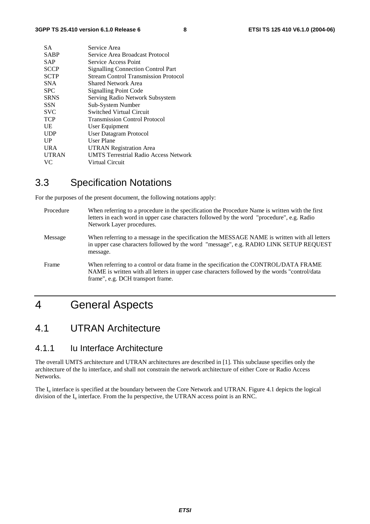| <b>SA</b>    | Service Area                                 |
|--------------|----------------------------------------------|
| <b>SABP</b>  | Service Area Broadcast Protocol              |
| <b>SAP</b>   | Service Access Point                         |
| <b>SCCP</b>  | <b>Signalling Connection Control Part</b>    |
| <b>SCTP</b>  | <b>Stream Control Transmission Protocol</b>  |
| <b>SNA</b>   | <b>Shared Network Area</b>                   |
| <b>SPC</b>   | <b>Signalling Point Code</b>                 |
| <b>SRNS</b>  | Serving Radio Network Subsystem              |
| <b>SSN</b>   | Sub-System Number                            |
| <b>SVC</b>   | Switched Virtual Circuit                     |
| <b>TCP</b>   | <b>Transmission Control Protocol</b>         |
| UE           | User Equipment                               |
| <b>UDP</b>   | <b>User Datagram Protocol</b>                |
| UP           | <b>User Plane</b>                            |
| <b>URA</b>   | <b>UTRAN Registration Area</b>               |
| <b>UTRAN</b> | <b>UMTS Terrestrial Radio Access Network</b> |
| VC.          | Virtual Circuit                              |

## 3.3 Specification Notations

For the purposes of the present document, the following notations apply:

Procedure When referring to a procedure in the specification the Procedure Name is written with the first letters in each word in upper case characters followed by the word "procedure", e.g. Radio Network Layer procedures. Message When referring to a message in the specification the MESSAGE NAME is written with all letters in upper case characters followed by the word "message", e.g. RADIO LINK SETUP REQUEST message. Frame When referring to a control or data frame in the specification the CONTROL/DATA FRAME NAME is written with all letters in upper case characters followed by the words "control/data frame", e.g. DCH transport frame.

## 4 General Aspects

### 4.1 UTRAN Architecture

#### 4.1.1 Iu Interface Architecture

The overall UMTS architecture and UTRAN architectures are described in [1]. This subclause specifies only the architecture of the Iu interface, and shall not constrain the network architecture of either Core or Radio Access Networks.

The  $I_{\rm u}$  interface is specified at the boundary between the Core Network and UTRAN. Figure 4.1 depicts the logical division of the  $I_{\rm u}$  interface. From the Iu perspective, the UTRAN access point is an RNC.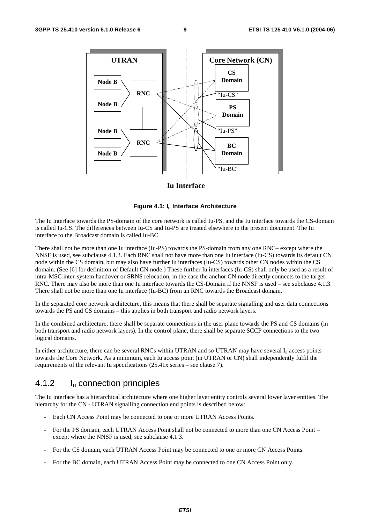

#### **Iu Interface**

#### **Figure 4.1: Iu Interface Architecture**

The Iu interface towards the PS-domain of the core network is called Iu-PS, and the Iu interface towards the CS-domain is called Iu-CS. The differences between Iu-CS and Iu-PS are treated elsewhere in the present document. The Iu interface to the Broadcast domain is called Iu-BC.

There shall not be more than one Iu interface (Iu-PS) towards the PS-domain from any one RNC– except where the NNSF is used, see subclause 4.1.3. Each RNC shall not have more than one Iu interface (Iu-CS) towards its default CN node within the CS domain, but may also have further Iu interfaces (Iu-CS) towards other CN nodes within the CS domain. (See [6] for definition of Default CN node.) These further Iu interfaces (Iu-CS) shall only be used as a result of intra-MSC inter-system handover or SRNS relocation, in the case the anchor CN node directly connects to the target RNC. There may also be more than one Iu interface towards the CS-Domain if the NNSF is used – see subclause 4.1.3. There shall not be more than one Iu interface (Iu-BC) from an RNC towards the Broadcast domain.

In the separated core network architecture, this means that there shall be separate signalling and user data connections towards the PS and CS domains – this applies in both transport and radio network layers.

In the combined architecture, there shall be separate connections in the user plane towards the PS and CS domains (in both transport and radio network layers). In the control plane, there shall be separate SCCP connections to the two logical domains.

In either architecture, there can be several RNCs within UTRAN and so UTRAN may have several  $I_u$  access points towards the Core Network. As a minimum, each Iu access point (in UTRAN or CN) shall independently fulfil the requirements of the relevant Iu specifications (25.41x series – see clause 7).

#### 4.1.2 Iu connection principles

The Iu interface has a hierarchical architecture where one higher layer entity controls several lower layer entities. The hierarchy for the CN - UTRAN signalling connection end points is described below:

- Each CN Access Point may be connected to one or more UTRAN Access Points.
- For the PS domain, each UTRAN Access Point shall not be connected to more than one CN Access Point except where the NNSF is used, see subclause 4.1.3.
- For the CS domain, each UTRAN Access Point may be connected to one or more CN Access Points.
- For the BC domain, each UTRAN Access Point may be connected to one CN Access Point only.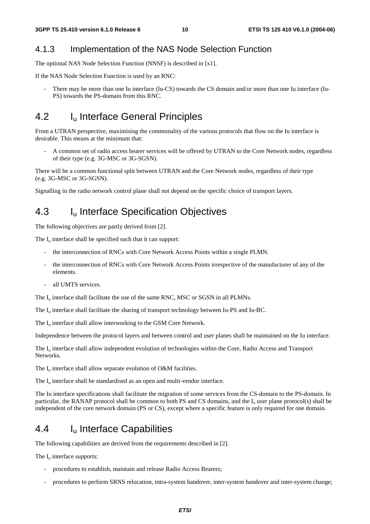#### 4.1.3 Implementation of the NAS Node Selection Function

The optional NAS Node Selection Function (NNSF) is described in [x1].

If the NAS Node Selection Function is used by an RNC:

There may be more than one Iu interface (Iu-CS) towards the CS domain and/or more than one Iu interface (Iu-PS) towards the PS-domain from this RNC.

## 4.2 I<sub>u</sub> Interface General Principles

From a UTRAN perspective, maximising the commonality of the various protocols that flow on the Iu interface is desirable. This means at the minimum that:

- A common set of radio access bearer services will be offered by UTRAN to the Core Network nodes, regardless of their type (e.g. 3G-MSC or 3G-SGSN).

There will be a common functional split between UTRAN and the Core Network nodes, regardless of their type (e.g. 3G-MSC or 3G-SGSN).

Signalling in the radio network control plane shall not depend on the specific choice of transport layers.

### 4.3 I<sub>u</sub> Interface Specification Objectives

The following objectives are partly derived from [2].

The  $I<sub>u</sub>$  interface shall be specified such that it can support:

- the interconnection of RNCs with Core Network Access Points within a single PLMN.
- the interconnection of RNCs with Core Network Access Points irrespective of the manufacturer of any of the elements.
- all UMTS services.

The  $I_{\text{u}}$  interface shall facilitate the use of the same RNC, MSC or SGSN in all PLMNs.

The  $I_{\text{u}}$  interface shall facilitate the sharing of transport technology between Iu-PS and Iu-BC.

The  $I_u$  interface shall allow interworking to the GSM Core Network.

Independence between the protocol layers and between control and user planes shall be maintained on the Iu interface.

The  $I_{\text{u}}$  interface shall allow independent evolution of technologies within the Core, Radio Access and Transport Networks.

The  $I_u$  interface shall allow separate evolution of O&M facilities.

The  $I_{\nu}$  interface shall be standardised as an open and multi-vendor interface.

The Iu interface specifications shall facilitate the migration of some services from the CS-domain to the PS-domain. In particular, the RANAP protocol shall be common to both PS and CS domains, and the  $I<sub>u</sub>$  user plane protocol(s) shall be independent of the core network domain (PS or CS), except where a specific feature is only required for one domain.

### 4.4 Iu Interface Capabilities

The following capabilities are derived from the requirements described in [2].

The  $I_{\text{u}}$  interface supports:

- procedures to establish, maintain and release Radio Access Bearers;
- procedures to perform SRNS relocation, intra-system handover, inter-system handover and inter-system change;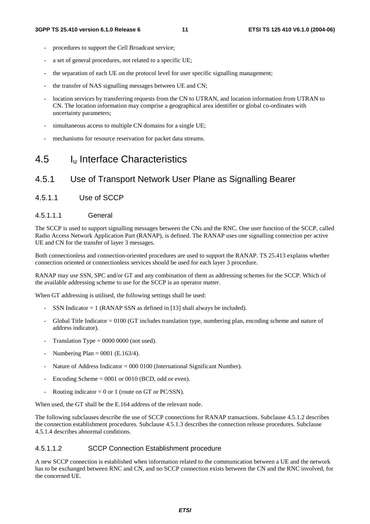- procedures to support the Cell Broadcast service;
- a set of general procedures, not related to a specific UE;
- the separation of each UE on the protocol level for user specific signalling management;
- the transfer of NAS signalling messages between UE and CN;
- location services by transferring requests from the CN to UTRAN, and location information from UTRAN to CN. The location information may comprise a geographical area identifier or global co-ordinates with uncertainty parameters;
- simultaneous access to multiple CN domains for a single UE;
- mechanisms for resource reservation for packet data streams.

## 4.5 Iu Interface Characteristics

### 4.5.1 Use of Transport Network User Plane as Signalling Bearer

4.5.1.1 Use of SCCP

#### 4.5.1.1.1 General

The SCCP is used to support signalling messages between the CNs and the RNC. One user function of the SCCP, called Radio Access Network Application Part (RANAP), is defined. The RANAP uses one signalling connection per active UE and CN for the transfer of layer 3 messages.

Both connectionless and connection-oriented procedures are used to support the RANAP. TS 25.413 explains whether connection oriented or connectionless services should be used for each layer 3 procedure.

RANAP may use SSN, SPC and/or GT and any combination of them as addressing schemes for the SCCP. Which of the available addressing scheme to use for the SCCP is an operator matter.

When GT addressing is utilised, the following settings shall be used:

- SSN Indicator  $= 1$  (RANAP SSN as defined in [13] shall always be included).
- Global Title Indicator  $= 0100$  (GT includes translation type, numbering plan, encoding scheme and nature of address indicator).
- Translation Type =  $0000 0000$  (not used).
- Numbering Plan =  $0001$  (E.163/4).
- Nature of Address Indicator = 000 0100 (International Significant Number).
- Encoding Scheme  $= 0001$  or 0010 (BCD, odd or even).
- Routing indicator = 0 or 1 (route on GT or PC/SSN).

When used, the GT shall be the E.164 address of the relevant node.

The following subclauses describe the use of SCCP connections for RANAP transactions. Subclause 4.5.1.2 describes the connection establishment procedures. Subclause 4.5.1.3 describes the connection release procedures. Subclause 4.5.1.4 describes abnormal conditions.

#### 4.5.1.1.2 SCCP Connection Establishment procedure

A new SCCP connection is established when information related to the communication between a UE and the network has to be exchanged between RNC and CN, and no SCCP connection exists between the CN and the RNC involved, for the concerned UE.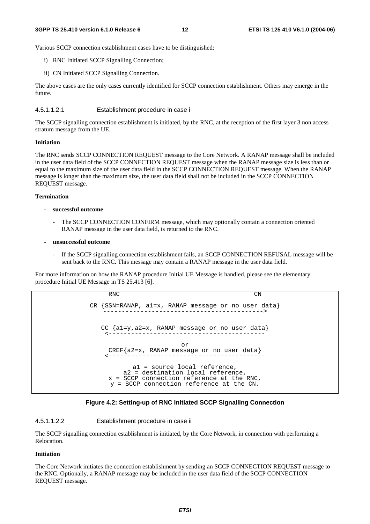Various SCCP connection establishment cases have to be distinguished:

- i) RNC Initiated SCCP Signalling Connection;
- ii) CN Initiated SCCP Signalling Connection.

The above cases are the only cases currently identified for SCCP connection establishment. Others may emerge in the future.

4.5.1.1.2.1 Establishment procedure in case i

The SCCP signalling connection establishment is initiated, by the RNC, at the reception of the first layer 3 non access stratum message from the UE.

#### **Initiation**

The RNC sends SCCP CONNECTION REQUEST message to the Core Network. A RANAP message shall be included in the user data field of the SCCP CONNECTION REQUEST message when the RANAP message size is less than or equal to the maximum size of the user data field in the SCCP CONNECTION REQUEST message. When the RANAP message is longer than the maximum size, the user data field shall not be included in the SCCP CONNECTION REQUEST message.

#### **Termination**

- **successful outcome** 
	- The SCCP CONNECTION CONFIRM message, which may optionally contain a connection oriented RANAP message in the user data field, is returned to the RNC.
- **unsuccessful outcome** 
	- If the SCCP signalling connection establishment fails, an SCCP CONNECTION REFUSAL message will be sent back to the RNC. This message may contain a RANAP message in the user data field.

For more information on how the RANAP procedure Initial UE Message is handled, please see the elementary procedure Initial UE Message in TS 25.413 [6].

```
RNC CN
CR {SSN=RANAP, a1=x, RANAP message or no user data} 
   -------------------------------------------> 
  CC {a1=y,a2=x, RANAP message or no user data} 
    <------------------------------------------ 
                       or 
    CREF{a2=x, RANAP message or no user data} 
    <------------------------------------------ 
           a1 = source local reference, 
        a2 = destination local reference, 
    x = SCCP connection reference at the RNC,
     y = SCCP connection reference at the CN.
```


#### 4.5.1.1.2.2 Establishment procedure in case ii

The SCCP signalling connection establishment is initiated, by the Core Network, in connection with performing a Relocation.

#### **Initiation**

The Core Network initiates the connection establishment by sending an SCCP CONNECTION REQUEST message to the RNC. Optionally, a RANAP message may be included in the user data field of the SCCP CONNECTION REQUEST message.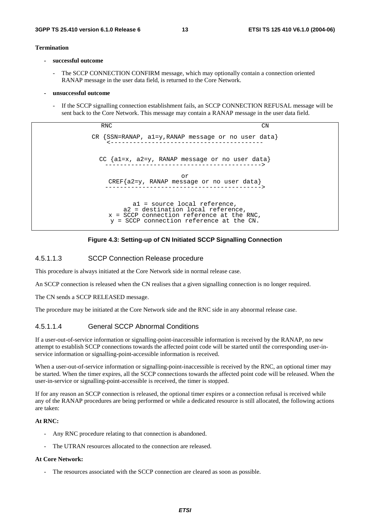#### **Termination**

- **successful outcome** 
	- The SCCP CONNECTION CONFIRM message, which may optionally contain a connection oriented RANAP message in the user data field, is returned to the Core Network.
- **unsuccessful outcome** 
	- If the SCCP signalling connection establishment fails, an SCCP CONNECTION REFUSAL message will be sent back to the Core Network. This message may contain a RANAP message in the user data field.

RNC CN CR {SSN=RANAP, a1=y,RANAP message or no user data} <----------------------------------------- CC {a1=x, a2=y, RANAP message or no user data} ------------------------------------------> or CREF{a2=y, RANAP message or no user data} ------------------------------------------> a1 = source local reference, a2 = destination local reference, x = SCCP connection reference at the RNC, y = SCCP connection reference at the CN.



#### 4.5.1.1.3 SCCP Connection Release procedure

This procedure is always initiated at the Core Network side in normal release case.

An SCCP connection is released when the CN realises that a given signalling connection is no longer required.

The CN sends a SCCP RELEASED message.

The procedure may be initiated at the Core Network side and the RNC side in any abnormal release case.

#### 4.5.1.1.4 General SCCP Abnormal Conditions

If a user-out-of-service information or signalling-point-inaccessible information is received by the RANAP, no new attempt to establish SCCP connections towards the affected point code will be started until the corresponding user-inservice information or signalling-point-accessible information is received.

When a user-out-of-service information or signalling-point-inaccessible is received by the RNC, an optional timer may be started. When the timer expires, all the SCCP connections towards the affected point code will be released. When the user-in-service or signalling-point-accessible is received, the timer is stopped.

If for any reason an SCCP connection is released, the optional timer expires or a connection refusal is received while any of the RANAP procedures are being performed or while a dedicated resource is still allocated, the following actions are taken:

#### **At RNC:**

- Any RNC procedure relating to that connection is abandoned.
- The UTRAN resources allocated to the connection are released.

#### **At Core Network:**

The resources associated with the SCCP connection are cleared as soon as possible.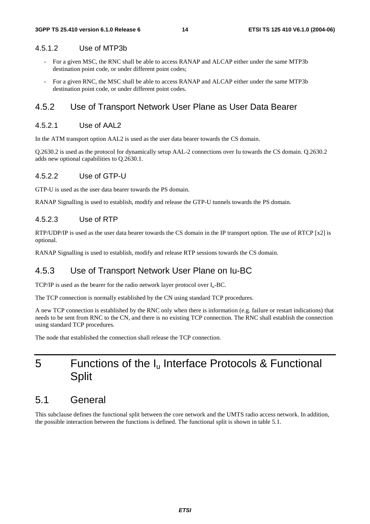#### 4.5.1.2 Use of MTP3b

- For a given MSC, the RNC shall be able to access RANAP and ALCAP either under the same MTP3b destination point code, or under different point codes;
- For a given RNC, the MSC shall be able to access RANAP and ALCAP either under the same MTP3b destination point code, or under different point codes.

#### 4.5.2 Use of Transport Network User Plane as User Data Bearer

#### 4.5.2.1 Use of AAL2

In the ATM transport option AAL2 is used as the user data bearer towards the CS domain.

Q.2630.2 is used as the protocol for dynamically setup AAL-2 connections over Iu towards the CS domain. Q.2630.2 adds new optional capabilities to Q.2630.1.

#### 4.5.2.2 Use of GTP-U

GTP-U is used as the user data bearer towards the PS domain.

RANAP Signalling is used to establish, modify and release the GTP-U tunnels towards the PS domain.

#### 4.5.2.3 Use of RTP

RTP/UDP/IP is used as the user data bearer towards the CS domain in the IP transport option. The use of RTCP [x2] is optional.

RANAP Signalling is used to establish, modify and release RTP sessions towards the CS domain.

#### 4.5.3 Use of Transport Network User Plane on Iu-BC

TCP/IP is used as the bearer for the radio network layer protocol over  $I_u$ -BC.

The TCP connection is normally established by the CN using standard TCP procedures.

A new TCP connection is established by the RNC only when there is information (e.g. failure or restart indications) that needs to be sent from RNC to the CN, and there is no existing TCP connection. The RNC shall establish the connection using standard TCP procedures.

The node that established the connection shall release the TCP connection.

## 5 Functions of the I<sub>u</sub> Interface Protocols & Functional **Split**

### 5.1 General

This subclause defines the functional split between the core network and the UMTS radio access network. In addition, the possible interaction between the functions is defined. The functional split is shown in table 5.1.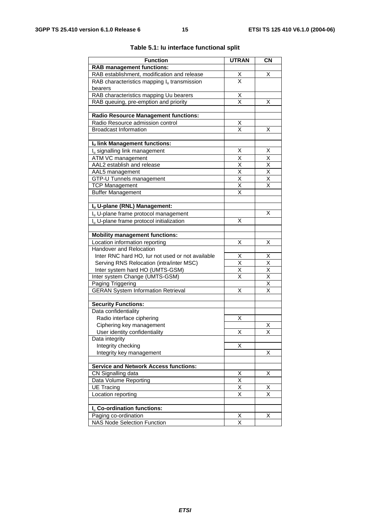| <b>Function</b>                                      | <b>UTRAN</b>                    | <b>CN</b>               |
|------------------------------------------------------|---------------------------------|-------------------------|
| <b>RAB management functions:</b>                     |                                 |                         |
| RAB establishment, modification and release          |                                 | X                       |
| RAB characteristics mapping $I_u$ transmission       | $\frac{\mathsf{X}}{\mathsf{X}}$ |                         |
| bearers                                              |                                 |                         |
| RAB characteristics mapping Uu bearers               | X                               |                         |
| RAB queuing, pre-emption and priority                | $\overline{\mathsf{x}}$         | х                       |
|                                                      |                                 |                         |
| <b>Radio Resource Management functions:</b>          |                                 |                         |
| Radio Resource admission control                     | <u>Х</u>                        |                         |
| <b>Broadcast Information</b>                         | $\overline{\mathsf{x}}$         | Χ                       |
|                                                      |                                 |                         |
| Iu link Management functions:                        |                                 |                         |
| I <sub>u</sub> signalling link management            | Χ                               | X                       |
| ATM VC management                                    | Χ                               | Χ                       |
| AAL2 establish and release                           | $\overline{\mathsf{x}}$         | $\overline{\mathsf{x}}$ |
| AAL5 management                                      | $\overline{\mathsf{x}}$         | $\overline{\mathsf{x}}$ |
| GTP-U Tunnels management                             | X                               | Χ                       |
| <b>TCP Management</b>                                | $\overline{\mathsf{x}}$         | $\overline{\mathsf{x}}$ |
| <b>Buffer Management</b>                             | X                               |                         |
|                                                      |                                 |                         |
| Iu U-plane (RNL) Management:                         |                                 |                         |
| I <sub>u</sub> U-plane frame protocol management     |                                 | х                       |
| I <sub>u</sub> U-plane frame protocol initialization | x                               |                         |
| <b>Mobility management functions:</b>                |                                 |                         |
| Location information reporting                       | Χ                               | X                       |
| Handover and Relocation                              |                                 |                         |
| Inter RNC hard HO, lur not used or not available     | X                               | X                       |
| Serving RNS Relocation (intra/inter MSC)             | $\overline{\mathsf{x}}$         | $\overline{\mathsf{x}}$ |
| Inter system hard HO (UMTS-GSM)                      | $\overline{\mathsf{x}}$         | $\overline{\mathsf{x}}$ |
| Inter system Change (UMTS-GSM)                       | X                               | $\overline{\mathsf{x}}$ |
| Paging Triggering                                    |                                 | $\overline{\mathsf{x}}$ |
| <b>GERAN System Information Retrieval</b>            | X                               | Χ                       |
| <b>Security Functions:</b>                           |                                 |                         |
| Data confidentiality                                 |                                 |                         |
| Radio interface ciphering                            | Χ                               |                         |
| Ciphering key management                             |                                 | Χ                       |
| User identity confidentiality                        | X                               | X                       |
| Data integrity                                       |                                 |                         |
| Integrity checking                                   | Χ                               |                         |
| Integrity key management                             |                                 | х                       |
|                                                      |                                 |                         |
| <b>Service and Network Access functions:</b>         |                                 |                         |
| CN Signalling data                                   | Χ                               | X                       |
| Data Volume Reporting                                | $\overline{\mathsf{x}}$         |                         |
| <b>UE Tracing</b>                                    | $\overline{\mathsf{x}}$         | Χ                       |
| Location reporting                                   | Χ                               | Χ                       |
|                                                      |                                 |                         |
| I <sub>u</sub> Co-ordination functions:              |                                 |                         |
| Paging co-ordination                                 | Χ                               | х                       |
| NAS Node Selection Function                          | $\overline{\mathsf{x}}$         |                         |

#### **Table 5.1: Iu interface functional split**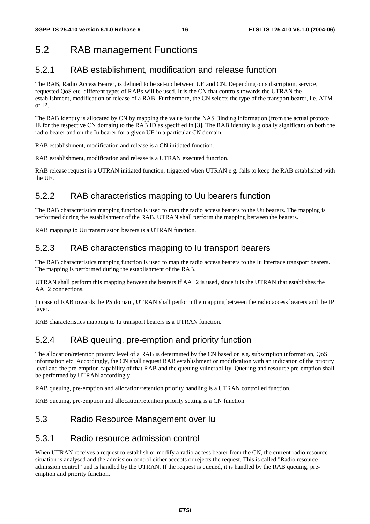## 5.2 RAB management Functions

### 5.2.1 RAB establishment, modification and release function

The RAB, Radio Access Bearer, is defined to be set-up between UE and CN. Depending on subscription, service, requested QoS etc. different types of RABs will be used. It is the CN that controls towards the UTRAN the establishment, modification or release of a RAB. Furthermore, the CN selects the type of the transport bearer, i.e. ATM or IP.

The RAB identity is allocated by CN by mapping the value for the NAS Binding information (from the actual protocol IE for the respective CN domain) to the RAB ID as specified in [3]. The RAB identity is globally significant on both the radio bearer and on the Iu bearer for a given UE in a particular CN domain.

RAB establishment, modification and release is a CN initiated function.

RAB establishment, modification and release is a UTRAN executed function.

RAB release request is a UTRAN initiated function, triggered when UTRAN e.g. fails to keep the RAB established with the UE.

### 5.2.2 RAB characteristics mapping to Uu bearers function

The RAB characteristics mapping function is used to map the radio access bearers to the Uu bearers. The mapping is performed during the establishment of the RAB. UTRAN shall perform the mapping between the bearers.

RAB mapping to Uu transmission bearers is a UTRAN function.

### 5.2.3 RAB characteristics mapping to Iu transport bearers

The RAB characteristics mapping function is used to map the radio access bearers to the Iu interface transport bearers. The mapping is performed during the establishment of the RAB.

UTRAN shall perform this mapping between the bearers if AAL2 is used, since it is the UTRAN that establishes the AAL2 connections.

In case of RAB towards the PS domain, UTRAN shall perform the mapping between the radio access bearers and the IP layer.

RAB characteristics mapping to Iu transport bearers is a UTRAN function.

### 5.2.4 RAB queuing, pre-emption and priority function

The allocation/retention priority level of a RAB is determined by the CN based on e.g. subscription information, QoS information etc. Accordingly, the CN shall request RAB establishment or modification with an indication of the priority level and the pre-emption capability of that RAB and the queuing vulnerability. Queuing and resource pre-emption shall be performed by UTRAN accordingly.

RAB queuing, pre-emption and allocation/retention priority handling is a UTRAN controlled function.

RAB queuing, pre-emption and allocation/retention priority setting is a CN function.

### 5.3 Radio Resource Management over Iu

#### 5.3.1 Radio resource admission control

When UTRAN receives a request to establish or modify a radio access bearer from the CN, the current radio resource situation is analysed and the admission control either accepts or rejects the request. This is called "Radio resource admission control" and is handled by the UTRAN. If the request is queued, it is handled by the RAB queuing, preemption and priority function.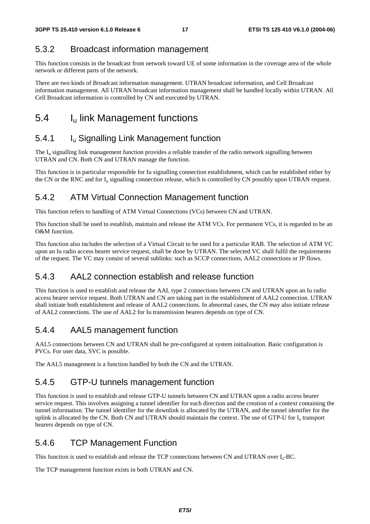### 5.3.2 Broadcast information management

This function consists in the broadcast from network toward UE of some information in the coverage area of the whole network or different parts of the network.

There are two kinds of Broadcast information management. UTRAN broadcast information, and Cell Broadcast information management. All UTRAN broadcast information management shall be handled locally within UTRAN. All Cell Broadcast information is controlled by CN and executed by UTRAN.

## 5.4 I<sub>u</sub> link Management functions

### 5.4.1 **I**<sub>u</sub> Signalling Link Management function

The I<sub>u</sub> signalling link management function provides a reliable transfer of the radio network signalling between UTRAN and CN. Both CN and UTRAN manage the function.

This function is in particular responsible for Iu signalling connection establishment, which can be established either by the CN or the RNC and for  $I_u$  signalling connection release, which is controlled by CN possibly upon UTRAN request.

#### 5.4.2 ATM Virtual Connection Management function

This function refers to handling of ATM Virtual Connections (VCs) between CN and UTRAN.

This function shall be used to establish, maintain and release the ATM VCs. For permanent VCs, it is regarded to be an O&M function.

This function also includes the selection of a Virtual Circuit to be used for a particular RAB. The selection of ATM VC upon an Iu radio access bearer service request, shall be done by UTRAN. The selected VC shall fulfil the requirements of the request. The VC may consist of several sublinks: such as SCCP connections, AAL2 connections or IP flows.

### 5.4.3 AAL2 connection establish and release function

This function is used to establish and release the AAL type 2 connections between CN and UTRAN upon an Iu radio access bearer service request. Both UTRAN and CN are taking part in the establishment of AAL2 connection. UTRAN shall initiate both establishment and release of AAL2 connections. In abnormal cases, the CN may also initiate release of AAL2 connections. The use of AAL2 for Iu transmission bearers depends on type of CN.

### 5.4.4 AAL5 management function

AAL5 connections between CN and UTRAN shall be pre-configured at system initialisation. Basic configuration is PVCs. For user data, SVC is possible.

The AAL5 management is a function handled by both the CN and the UTRAN.

#### 5.4.5 GTP-U tunnels management function

This function is used to establish and release GTP-U tunnels between CN and UTRAN upon a radio access bearer service request. This involves assigning a tunnel identifier for each direction and the creation of a context containing the tunnel information. The tunnel identifier for the downlink is allocated by the UTRAN, and the tunnel identifier for the uplink is allocated by the CN. Both CN and UTRAN should maintain the context. The use of GTP-U for I<sub>u</sub> transport bearers depends on type of CN.

#### 5.4.6 TCP Management Function

This function is used to establish and release the TCP connections between CN and UTRAN over Iu-BC.

The TCP management function exists in both UTRAN and CN.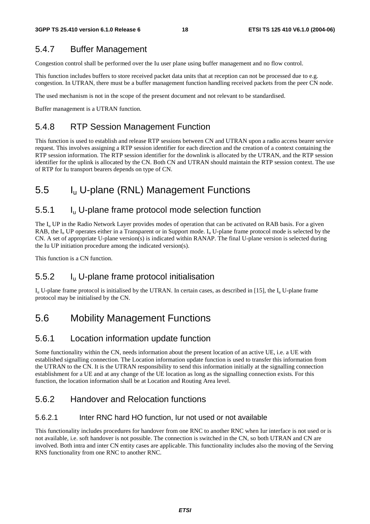### 5.4.7 Buffer Management

Congestion control shall be performed over the Iu user plane using buffer management and no flow control.

This function includes buffers to store received packet data units that at reception can not be processed due to e.g. congestion. In UTRAN, there must be a buffer management function handling received packets from the peer CN node.

The used mechanism is not in the scope of the present document and not relevant to be standardised.

Buffer management is a UTRAN function.

### 5.4.8 RTP Session Management Function

This function is used to establish and release RTP sessions between CN and UTRAN upon a radio access bearer service request. This involves assigning a RTP session identifier for each direction and the creation of a context containing the RTP session information. The RTP session identifier for the downlink is allocated by the UTRAN, and the RTP session identifier for the uplink is allocated by the CN. Both CN and UTRAN should maintain the RTP session context. The use of RTP for Iu transport bearers depends on type of CN.

## 5.5 Iu U-plane (RNL) Management Functions

### 5.5.1 Iu U-plane frame protocol mode selection function

The  $I_{\rm u}$  UP in the Radio Network Layer provides modes of operation that can be activated on RAB basis. For a given RAB, the  $I_{\rm u}$  UP operates either in a Transparent or in Support mode.  $I_{\rm u}$  U-plane frame protocol mode is selected by the CN. A set of appropriate U-plane version(s) is indicated within RANAP. The final U-plane version is selected during the Iu UP initiation procedure among the indicated version(s).

This function is a CN function.

### 5.5.2 Iu U-plane frame protocol initialisation

 $I_{u}$  U-plane frame protocol is initialised by the UTRAN. In certain cases, as described in [15], the  $I_{u}$  U-plane frame protocol may be initialised by the CN.

## 5.6 Mobility Management Functions

### 5.6.1 Location information update function

Some functionality within the CN, needs information about the present location of an active UE, i.e. a UE with established signalling connection. The Location information update function is used to transfer this information from the UTRAN to the CN. It is the UTRAN responsibility to send this information initially at the signalling connection establishment for a UE and at any change of the UE location as long as the signalling connection exists. For this function, the location information shall be at Location and Routing Area level.

### 5.6.2 Handover and Relocation functions

#### 5.6.2.1 Inter RNC hard HO function, Iur not used or not available

This functionality includes procedures for handover from one RNC to another RNC when Iur interface is not used or is not available, i.e. soft handover is not possible. The connection is switched in the CN, so both UTRAN and CN are involved. Both intra and inter CN entity cases are applicable. This functionality includes also the moving of the Serving RNS functionality from one RNC to another RNC.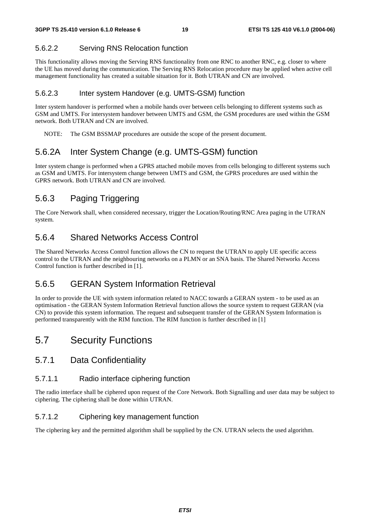#### 5.6.2.2 Serving RNS Relocation function

This functionality allows moving the Serving RNS functionality from one RNC to another RNC, e.g. closer to where the UE has moved during the communication. The Serving RNS Relocation procedure may be applied when active cell management functionality has created a suitable situation for it. Both UTRAN and CN are involved.

#### 5.6.2.3 Inter system Handover (e.g. UMTS-GSM) function

Inter system handover is performed when a mobile hands over between cells belonging to different systems such as GSM and UMTS. For intersystem handover between UMTS and GSM, the GSM procedures are used within the GSM network. Both UTRAN and CN are involved.

NOTE: The GSM BSSMAP procedures are outside the scope of the present document.

### 5.6.2A Inter System Change (e.g. UMTS-GSM) function

Inter system change is performed when a GPRS attached mobile moves from cells belonging to different systems such as GSM and UMTS. For intersystem change between UMTS and GSM, the GPRS procedures are used within the GPRS network. Both UTRAN and CN are involved.

### 5.6.3 Paging Triggering

The Core Network shall, when considered necessary, trigger the Location/Routing/RNC Area paging in the UTRAN system.

### 5.6.4 Shared Networks Access Control

The Shared Networks Access Control function allows the CN to request the UTRAN to apply UE specific access control to the UTRAN and the neighbouring networks on a PLMN or an SNA basis. The Shared Networks Access Control function is further described in [1].

### 5.6.5 GERAN System Information Retrieval

In order to provide the UE with system information related to NACC towards a GERAN system - to be used as an optimisation - the GERAN System Information Retrieval function allows the source system to request GERAN (via CN) to provide this system information. The request and subsequent transfer of the GERAN System Information is performed transparently with the RIM function. The RIM function is further described in [1]

### 5.7 Security Functions

#### 5.7.1 Data Confidentiality

#### 5.7.1.1 Radio interface ciphering function

The radio interface shall be ciphered upon request of the Core Network. Both Signalling and user data may be subject to ciphering. The ciphering shall be done within UTRAN.

#### 5.7.1.2 Ciphering key management function

The ciphering key and the permitted algorithm shall be supplied by the CN. UTRAN selects the used algorithm.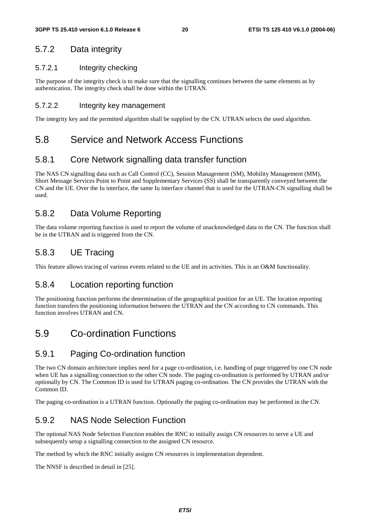### 5.7.2 Data integrity

#### 5.7.2.1 Integrity checking

The purpose of the integrity check is to make sure that the signalling continues between the same elements as by authentication. The integrity check shall be done within the UTRAN.

#### 5.7.2.2 Integrity key management

The integrity key and the permitted algorithm shall be supplied by the CN. UTRAN selects the used algorithm.

### 5.8 Service and Network Access Functions

### 5.8.1 Core Network signalling data transfer function

The NAS CN signalling data such as Call Control (CC), Session Management (SM), Mobility Management (MM), Short Message Services Point to Point and Supplementary Services (SS) shall be transparently conveyed between the CN and the UE. Over the Iu interface, the same Iu interface channel that is used for the UTRAN-CN signalling shall be used.

### 5.8.2 Data Volume Reporting

The data volume reporting function is used to report the volume of unacknowledged data to the CN. The function shall be in the UTRAN and is triggered from the CN.

### 5.8.3 UE Tracing

This feature allows tracing of various events related to the UE and its activities. This is an O&M functionality.

#### 5.8.4 Location reporting function

The positioning function performs the determination of the geographical position for an UE. The location reporting function transfers the positioning information between the UTRAN and the CN according to CN commands. This function involves UTRAN and CN.

## 5.9 Co-ordination Functions

### 5.9.1 Paging Co-ordination function

The two CN domain architecture implies need for a page co-ordination, i.e. handling of page triggered by one CN node when UE has a signalling connection to the other CN node. The paging co-ordination is performed by UTRAN and/or optionally by CN. The Common ID is used for UTRAN paging co-ordination. The CN provides the UTRAN with the Common ID.

The paging co-ordination is a UTRAN function. Optionally the paging co-ordination may be performed in the CN.

### 5.9.2 NAS Node Selection Function

The optional NAS Node Selection Function enables the RNC to initially assign CN resources to serve a UE and subsequently setup a signalling connection to the assigned CN resource.

The method by which the RNC initially assigns CN resources is implementation dependent.

The NNSF is described in detail in [25].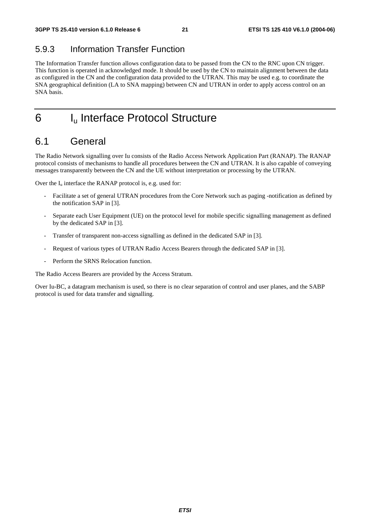## 5.9.3 Information Transfer Function

The Information Transfer function allows configuration data to be passed from the CN to the RNC upon CN trigger. This function is operated in acknowledged mode. It should be used by the CN to maintain alignment between the data as configured in the CN and the configuration data provided to the UTRAN. This may be used e.g. to coordinate the SNA geographical definition (LA to SNA mapping) between CN and UTRAN in order to apply access control on an SNA basis.

6 I<sub>u</sub> Interface Protocol Structure

## 6.1 General

The Radio Network signalling over Iu consists of the Radio Access Network Application Part (RANAP). The RANAP protocol consists of mechanisms to handle all procedures between the CN and UTRAN. It is also capable of conveying messages transparently between the CN and the UE without interpretation or processing by the UTRAN.

Over the  $I_u$  interface the RANAP protocol is, e.g. used for:

- Facilitate a set of general UTRAN procedures from the Core Network such as paging -notification as defined by the notification SAP in [3].
- Separate each User Equipment (UE) on the protocol level for mobile specific signalling management as defined by the dedicated SAP in [3].
- Transfer of transparent non-access signalling as defined in the dedicated SAP in [3].
- Request of various types of UTRAN Radio Access Bearers through the dedicated SAP in [3].
- Perform the SRNS Relocation function.

The Radio Access Bearers are provided by the Access Stratum.

Over Iu-BC, a datagram mechanism is used, so there is no clear separation of control and user planes, and the SABP protocol is used for data transfer and signalling.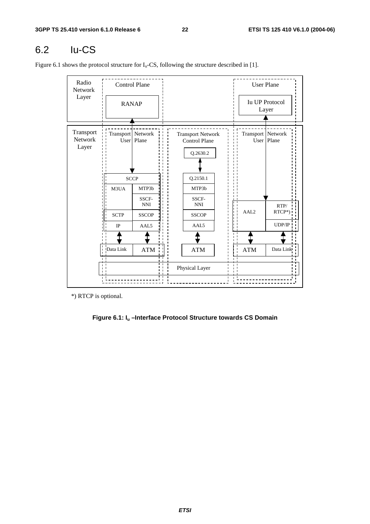## 6.2 Iu-CS

Figure 6.1 shows the protocol structure for  $I_u$ -CS, following the structure described in [1].

| Radio<br>Network              |                             | <b>Control Plane</b> |                                                              |                |                             | <b>User Plane</b>              |
|-------------------------------|-----------------------------|----------------------|--------------------------------------------------------------|----------------|-----------------------------|--------------------------------|
| Layer                         | <b>RANAP</b>                |                      |                                                              |                |                             | <b>Iu UP Protocol</b><br>Layer |
| Transport<br>Network<br>Layer | Transport   Network<br>User | Plane                | <b>Transport Network</b><br><b>Control Plane</b><br>Q.2630.2 |                | Transport   Network<br>User | Plane                          |
|                               |                             | <b>SCCP</b>          | Q.2150.1                                                     |                |                             |                                |
|                               | M3UA                        | MTP3b                | MTP3b                                                        |                |                             |                                |
|                               |                             | SSCF-<br><b>NNI</b>  | SSCF-<br><b>NNI</b>                                          |                |                             | RTP/                           |
|                               | <b>SCTP</b>                 | <b>SSCOP</b>         | <b>SSCOP</b>                                                 |                | AAL <sub>2</sub>            | $RTCP*)$                       |
|                               | $_{\rm IP}$                 | AAL5                 | AAL5                                                         |                |                             | UDP/IP                         |
|                               |                             |                      |                                                              |                |                             |                                |
|                               | Data Link                   | <b>ATM</b>           | <b>ATM</b>                                                   |                | <b>ATM</b>                  | Data Link                      |
|                               | $\blacksquare$              |                      | Physical Layer                                               | $\blacksquare$ |                             |                                |
|                               |                             |                      |                                                              |                |                             |                                |

\*) RTCP is optional.

**Figure 6.1: Iu –Interface Protocol Structure towards CS Domain**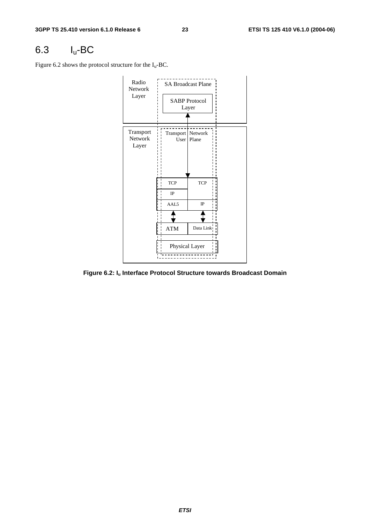## 6.3 Iu-BC

Figure 6.2 shows the protocol structure for the  $I_u$ -BC.



**Figure 6.2: Iu Interface Protocol Structure towards Broadcast Domain**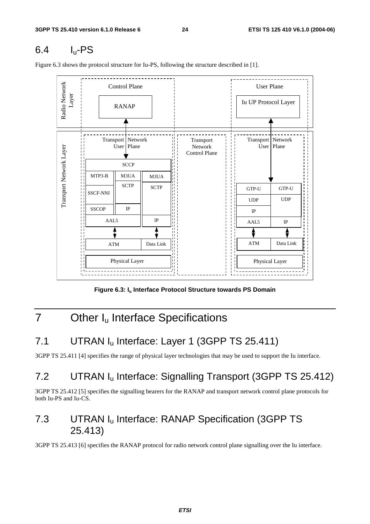## 6.4 Iu-PS

Figure 6.3 shows the protocol structure for Iu-PS, following the structure described in [1].



Figure 6.3: I<sub>u</sub> Interface Protocol Structure towards PS Domain

## 7 Other I<sub>u</sub> Interface Specifications

## 7.1 UTRAN I<sub>u</sub> Interface: Layer 1 (3GPP TS 25.411)

3GPP TS 25.411 [4] specifies the range of physical layer technologies that may be used to support the Iu interface.

## 7.2 UTRAN Iu Interface: Signalling Transport (3GPP TS 25.412)

3GPP TS 25.412 [5] specifies the signalling bearers for the RANAP and transport network control plane protocols for both Iu-PS and Iu-CS.

## 7.3 UTRAN Iu Interface: RANAP Specification (3GPP TS 25.413)

3GPP TS 25.413 [6] specifies the RANAP protocol for radio network control plane signalling over the Iu interface.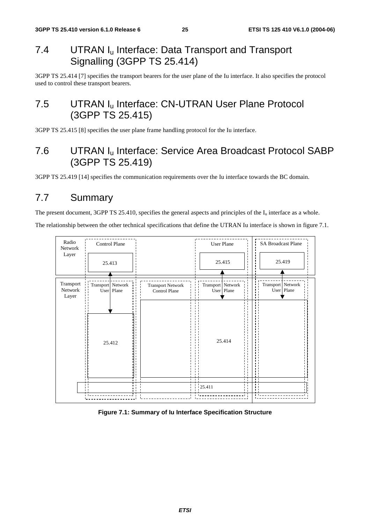## 7.4 UTRAN I<sub>u</sub> Interface: Data Transport and Transport Signalling (3GPP TS 25.414)

3GPP TS 25.414 [7] specifies the transport bearers for the user plane of the Iu interface. It also specifies the protocol used to control these transport bearers.

## 7.5 UTRAN I<sub>u</sub> Interface: CN-UTRAN User Plane Protocol (3GPP TS 25.415)

3GPP TS 25.415 [8] specifies the user plane frame handling protocol for the Iu interface.

## 7.6 UTRAN Iu Interface: Service Area Broadcast Protocol SABP (3GPP TS 25.419)

3GPP TS 25.419 [14] specifies the communication requirements over the Iu interface towards the BC domain.

## 7.7 Summary

The present document, 3GPP TS 25.410, specifies the general aspects and principles of the  $I_u$  interface as a whole.

The relationship between the other technical specifications that define the UTRAN Iu interface is shown in figure 7.1.



#### **Figure 7.1: Summary of Iu Interface Specification Structure**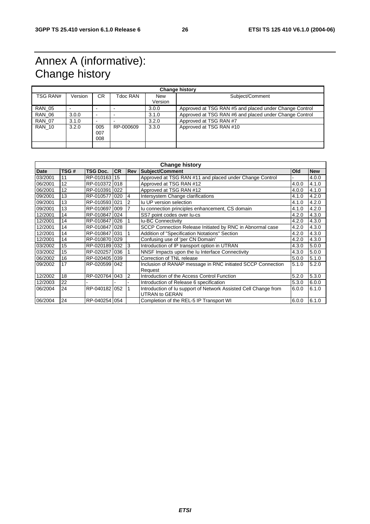## Annex A (informative): Change history

| <b>Change history</b> |         |                          |           |                       |                                                        |  |  |  |
|-----------------------|---------|--------------------------|-----------|-----------------------|--------------------------------------------------------|--|--|--|
| <b>TSG RAN#</b>       | Version | CR.                      | Tdoc RAN  | <b>New</b><br>Version | Subject/Comment                                        |  |  |  |
| <b>RAN 05</b>         |         |                          |           | 3.0.0                 | Approved at TSG RAN #5 and placed under Change Control |  |  |  |
| <b>RAN 06</b>         | 3.0.0   | $\overline{\phantom{a}}$ |           | 3.1.0                 | Approved at TSG RAN #6 and placed under Change Control |  |  |  |
| <b>RAN 07</b>         | 3.1.0   | -                        |           | 3.2.0                 | Approved at TSG RAN #7                                 |  |  |  |
| <b>RAN 10</b>         | 3.2.0   | 005<br>007<br>008        | RP-000609 | 3.3.0                 | Approved at TSG RAN #10                                |  |  |  |
|                       |         |                          |           |                       |                                                        |  |  |  |

| <b>Change history</b> |       |               |           |   |                                                                                          |       |            |  |  |
|-----------------------|-------|---------------|-----------|---|------------------------------------------------------------------------------------------|-------|------------|--|--|
| <b>Date</b>           | TSG # | TSG Doc.      | <b>CR</b> |   | <b>Rev Subject/Comment</b>                                                               | Old   | <b>New</b> |  |  |
| 03/2001               | 11    | RP-010163 15  |           |   | Approved at TSG RAN #11 and placed under Change Control                                  |       | 4.0.0      |  |  |
| 06/2001               | 12    | RP-010372 018 |           |   | Approved at TSG RAN #12                                                                  | 4.0.0 | 4.1.0      |  |  |
| 06/2001               | 12    | RP-010391 022 |           |   | Approved at TSG RAN #12                                                                  | 4.0.0 | 4.1.0      |  |  |
| 09/2001               | 13    | RP-010577 020 |           | 4 | Intersystem Change clarifications                                                        | 4.1.0 | 4.2.0      |  |  |
| 09/2001               | 13    | RP-010593 021 |           | 2 | Iu UP version selection                                                                  | 4.1.0 | 4.2.0      |  |  |
| 09/2001               | 13    | RP-010697 009 |           | 7 | Iu connection principles enhancement, CS domain                                          | 4.1.0 | 4.2.0      |  |  |
| 12/2001               | 14    | RP-010847 024 |           |   | SS7 point codes over lu-cs                                                               | 4.2.0 | 4.3.0      |  |  |
| 12/2001               | 14    | RP-010847 026 |           |   | <b>Iu-BC Connectivity</b>                                                                | 4.2.0 | 4.3.0      |  |  |
| 12/2001               | 14    | RP-0108471028 |           |   | SCCP Connection Release Initiated by RNC in Abnormal case                                | 4.2.0 | 4.3.0      |  |  |
| 12/2001               | 14    | RP-010847 031 |           |   | Addition of "Specification Notations" Section                                            |       | 4.3.0      |  |  |
| 12/2001               | 14    | RP-0108701029 |           |   | Confusing use of 'per CN Domain'                                                         |       | 4.3.0      |  |  |
| 03/2002               | 15    | RP-020189 032 |           | 3 | Introduction of IP transport option in UTRAN                                             | 4.3.0 | 5.0.0      |  |  |
| 03/2002               | 15    | RP-0202571036 |           |   | NNSF Impacts upon the Iu Interface Connectivity                                          | 4.3.0 | 5.0.0      |  |  |
| 06/2002               | 16    | RP-020405 039 |           |   | Correction of TNL release                                                                | 5.0.0 | 5.1.0      |  |  |
| 09/2002               | 17    | RP-020599 042 |           |   | Inclusion of RANAP message in RNC initiated SCCP Connection<br>Request                   | 5.1.0 | 5.2.0      |  |  |
| 12/2002               | 18    | RP-020764     | 043       | 2 | Introduction of the Access Control Function                                              | 5.2.0 | 5.3.0      |  |  |
| 12/2003               | 22    |               |           |   | Introduction of Release 6 specification                                                  | 5.3.0 | 6.0.0      |  |  |
| 06/2004               | 24    | RP-040182     | 052       |   | Introduction of Iu support of Network Assisted Cell Change from<br><b>UTRAN to GERAN</b> | 6.0.0 | 6.1.0      |  |  |
| 06/2004               | 24    | RP-040254 054 |           |   | Completion of the REL-5 IP Transport WI                                                  | 6.0.0 | 6.1.0      |  |  |